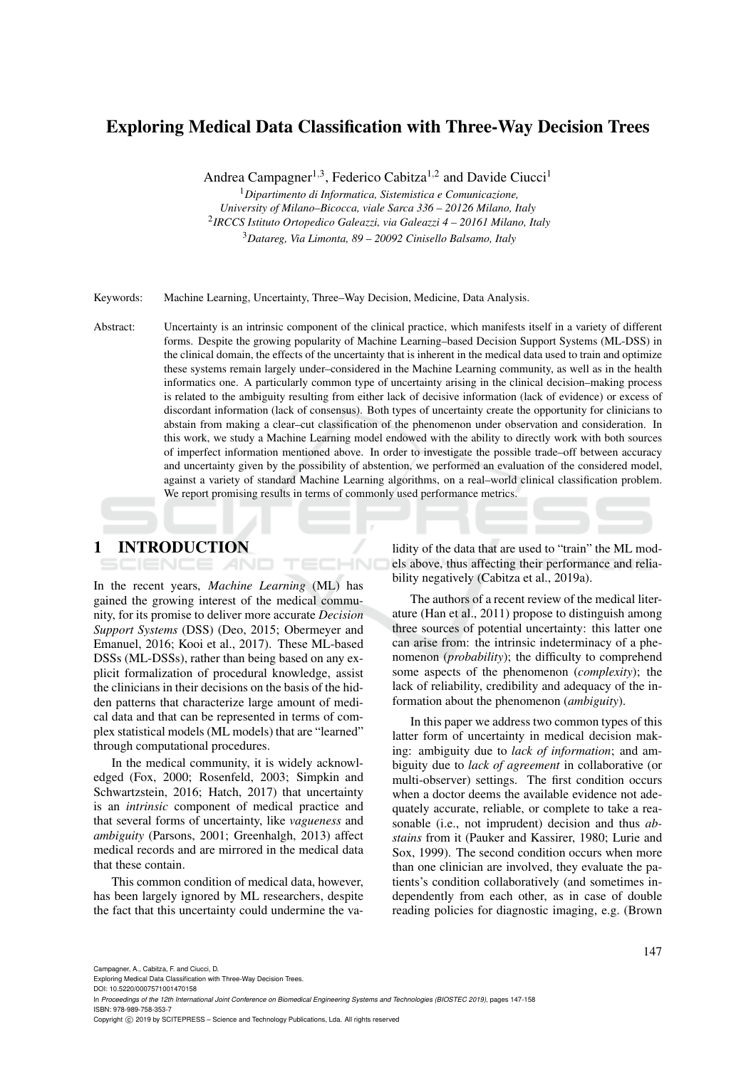# Exploring Medical Data Classification with Three-Way Decision Trees

Andrea Campagner<sup>1,3</sup>, Federico Cabitza<sup>1,2</sup> and Davide Ciucci<sup>1</sup>

<sup>1</sup>*Dipartimento di Informatica, Sistemistica e Comunicazione,*

*University of Milano–Bicocca, viale Sarca 336 – 20126 Milano, Italy* 2 *IRCCS Istituto Ortopedico Galeazzi, via Galeazzi 4 – 20161 Milano, Italy*

<sup>3</sup>*Datareg, Via Limonta, 89 – 20092 Cinisello Balsamo, Italy*

Keywords: Machine Learning, Uncertainty, Three–Way Decision, Medicine, Data Analysis.

Abstract: Uncertainty is an intrinsic component of the clinical practice, which manifests itself in a variety of different forms. Despite the growing popularity of Machine Learning–based Decision Support Systems (ML-DSS) in the clinical domain, the effects of the uncertainty that is inherent in the medical data used to train and optimize these systems remain largely under–considered in the Machine Learning community, as well as in the health informatics one. A particularly common type of uncertainty arising in the clinical decision–making process is related to the ambiguity resulting from either lack of decisive information (lack of evidence) or excess of discordant information (lack of consensus). Both types of uncertainty create the opportunity for clinicians to abstain from making a clear–cut classification of the phenomenon under observation and consideration. In this work, we study a Machine Learning model endowed with the ability to directly work with both sources of imperfect information mentioned above. In order to investigate the possible trade–off between accuracy and uncertainty given by the possibility of abstention, we performed an evaluation of the considered model, against a variety of standard Machine Learning algorithms, on a real–world clinical classification problem. We report promising results in terms of commonly used performance metrics.

1 INTRODUCTION

IENCE *A*ND

In the recent years, *Machine Learning* (ML) has gained the growing interest of the medical community, for its promise to deliver more accurate *Decision Support Systems* (DSS) (Deo, 2015; Obermeyer and Emanuel, 2016; Kooi et al., 2017). These ML-based DSSs (ML-DSSs), rather than being based on any explicit formalization of procedural knowledge, assist the clinicians in their decisions on the basis of the hidden patterns that characterize large amount of medical data and that can be represented in terms of complex statistical models (ML models) that are "learned" through computational procedures.

In the medical community, it is widely acknowledged (Fox, 2000; Rosenfeld, 2003; Simpkin and Schwartzstein, 2016; Hatch, 2017) that uncertainty is an *intrinsic* component of medical practice and that several forms of uncertainty, like *vagueness* and *ambiguity* (Parsons, 2001; Greenhalgh, 2013) affect medical records and are mirrored in the medical data that these contain.

This common condition of medical data, however, has been largely ignored by ML researchers, despite the fact that this uncertainty could undermine the validity of the data that are used to "train" the ML models above, thus affecting their performance and reliability negatively (Cabitza et al., 2019a).

The authors of a recent review of the medical literature (Han et al., 2011) propose to distinguish among three sources of potential uncertainty: this latter one can arise from: the intrinsic indeterminacy of a phenomenon (*probability*); the difficulty to comprehend some aspects of the phenomenon (*complexity*); the lack of reliability, credibility and adequacy of the information about the phenomenon (*ambiguity*).

In this paper we address two common types of this latter form of uncertainty in medical decision making: ambiguity due to *lack of information*; and ambiguity due to *lack of agreement* in collaborative (or multi-observer) settings. The first condition occurs when a doctor deems the available evidence not adequately accurate, reliable, or complete to take a reasonable (i.e., not imprudent) decision and thus *abstains* from it (Pauker and Kassirer, 1980; Lurie and Sox, 1999). The second condition occurs when more than one clinician are involved, they evaluate the patients's condition collaboratively (and sometimes independently from each other, as in case of double reading policies for diagnostic imaging, e.g. (Brown

Campagner, A., Cabitza, F. and Ciucci, D.

Exploring Medical Data Classification with Three-Way Decision Trees.

DOI: 10.5220/0007571001470158

In *Proceedings of the 12th International Joint Conference on Biomedical Engineering Systems and Technologies (BIOSTEC 2019)*, pages 147-158 ISBN: 978-989-758-353-7

Copyright (C) 2019 by SCITEPRESS - Science and Technology Publications, Lda. All rights reserved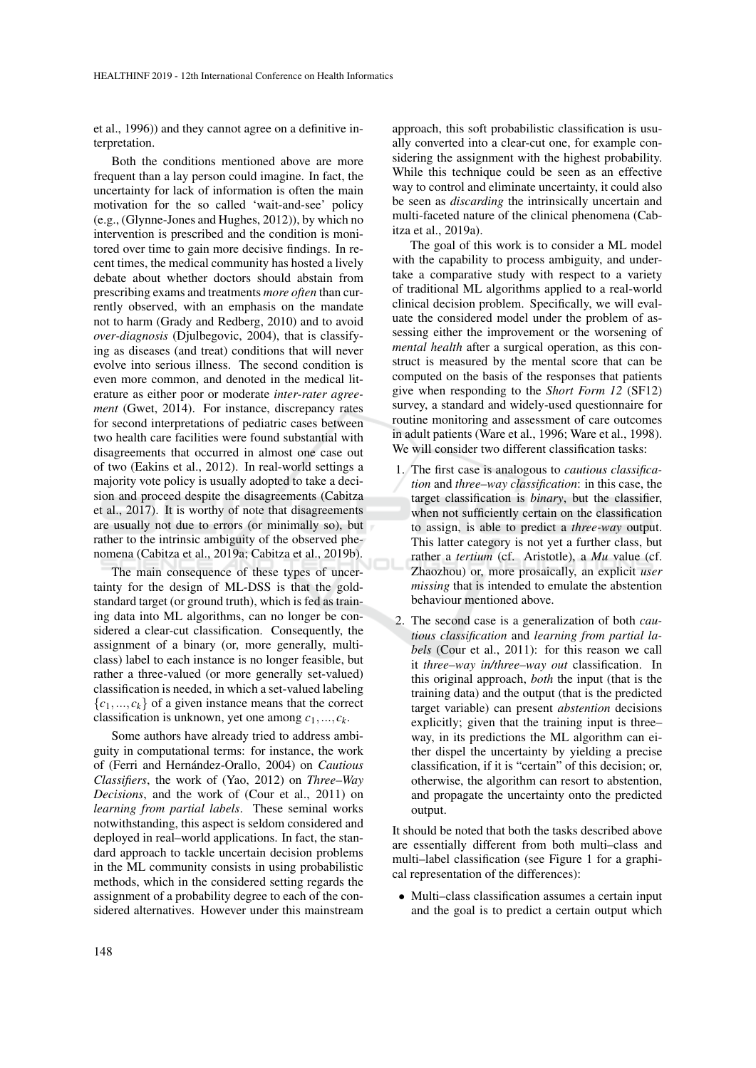et al., 1996)) and they cannot agree on a definitive interpretation.

Both the conditions mentioned above are more frequent than a lay person could imagine. In fact, the uncertainty for lack of information is often the main motivation for the so called 'wait-and-see' policy (e.g., (Glynne-Jones and Hughes, 2012)), by which no intervention is prescribed and the condition is monitored over time to gain more decisive findings. In recent times, the medical community has hosted a lively debate about whether doctors should abstain from prescribing exams and treatments *more often* than currently observed, with an emphasis on the mandate not to harm (Grady and Redberg, 2010) and to avoid *over-diagnosis* (Djulbegovic, 2004), that is classifying as diseases (and treat) conditions that will never evolve into serious illness. The second condition is even more common, and denoted in the medical literature as either poor or moderate *inter-rater agreement* (Gwet, 2014). For instance, discrepancy rates for second interpretations of pediatric cases between two health care facilities were found substantial with disagreements that occurred in almost one case out of two (Eakins et al., 2012). In real-world settings a majority vote policy is usually adopted to take a decision and proceed despite the disagreements (Cabitza et al., 2017). It is worthy of note that disagreements are usually not due to errors (or minimally so), but rather to the intrinsic ambiguity of the observed phenomena (Cabitza et al., 2019a; Cabitza et al., 2019b).

The main consequence of these types of uncertainty for the design of ML-DSS is that the goldstandard target (or ground truth), which is fed as training data into ML algorithms, can no longer be considered a clear-cut classification. Consequently, the assignment of a binary (or, more generally, multiclass) label to each instance is no longer feasible, but rather a three-valued (or more generally set-valued) classification is needed, in which a set-valued labeling  ${c_1, ..., c_k}$  of a given instance means that the correct classification is unknown, yet one among *c*1,..., *ck*.

Some authors have already tried to address ambiguity in computational terms: for instance, the work of (Ferri and Hernández-Orallo, 2004) on *Cautious Classifiers*, the work of (Yao, 2012) on *Three–Way Decisions*, and the work of (Cour et al., 2011) on *learning from partial labels*. These seminal works notwithstanding, this aspect is seldom considered and deployed in real–world applications. In fact, the standard approach to tackle uncertain decision problems in the ML community consists in using probabilistic methods, which in the considered setting regards the assignment of a probability degree to each of the considered alternatives. However under this mainstream

approach, this soft probabilistic classification is usually converted into a clear-cut one, for example considering the assignment with the highest probability. While this technique could be seen as an effective way to control and eliminate uncertainty, it could also be seen as *discarding* the intrinsically uncertain and multi-faceted nature of the clinical phenomena (Cabitza et al., 2019a).

The goal of this work is to consider a ML model with the capability to process ambiguity, and undertake a comparative study with respect to a variety of traditional ML algorithms applied to a real-world clinical decision problem. Specifically, we will evaluate the considered model under the problem of assessing either the improvement or the worsening of *mental health* after a surgical operation, as this construct is measured by the mental score that can be computed on the basis of the responses that patients give when responding to the *Short Form 12* (SF12) survey, a standard and widely-used questionnaire for routine monitoring and assessment of care outcomes in adult patients (Ware et al., 1996; Ware et al., 1998). We will consider two different classification tasks:

- 1. The first case is analogous to *cautious classification* and *three–way classification*: in this case, the target classification is *binary*, but the classifier, when not sufficiently certain on the classification to assign, is able to predict a *three-way* output. This latter category is not yet a further class, but rather a *tertium* (cf. Aristotle), a *Mu* value (cf. Zhaozhou) or, more prosaically, an explicit *user missing* that is intended to emulate the abstention behaviour mentioned above.
- 2. The second case is a generalization of both *cautious classification* and *learning from partial labels* (Cour et al., 2011): for this reason we call it *three–way in/three–way out* classification. In this original approach, *both* the input (that is the training data) and the output (that is the predicted target variable) can present *abstention* decisions explicitly; given that the training input is three– way, in its predictions the ML algorithm can either dispel the uncertainty by yielding a precise classification, if it is "certain" of this decision; or, otherwise, the algorithm can resort to abstention, and propagate the uncertainty onto the predicted output.

It should be noted that both the tasks described above are essentially different from both multi–class and multi–label classification (see Figure 1 for a graphical representation of the differences):

• Multi–class classification assumes a certain input and the goal is to predict a certain output which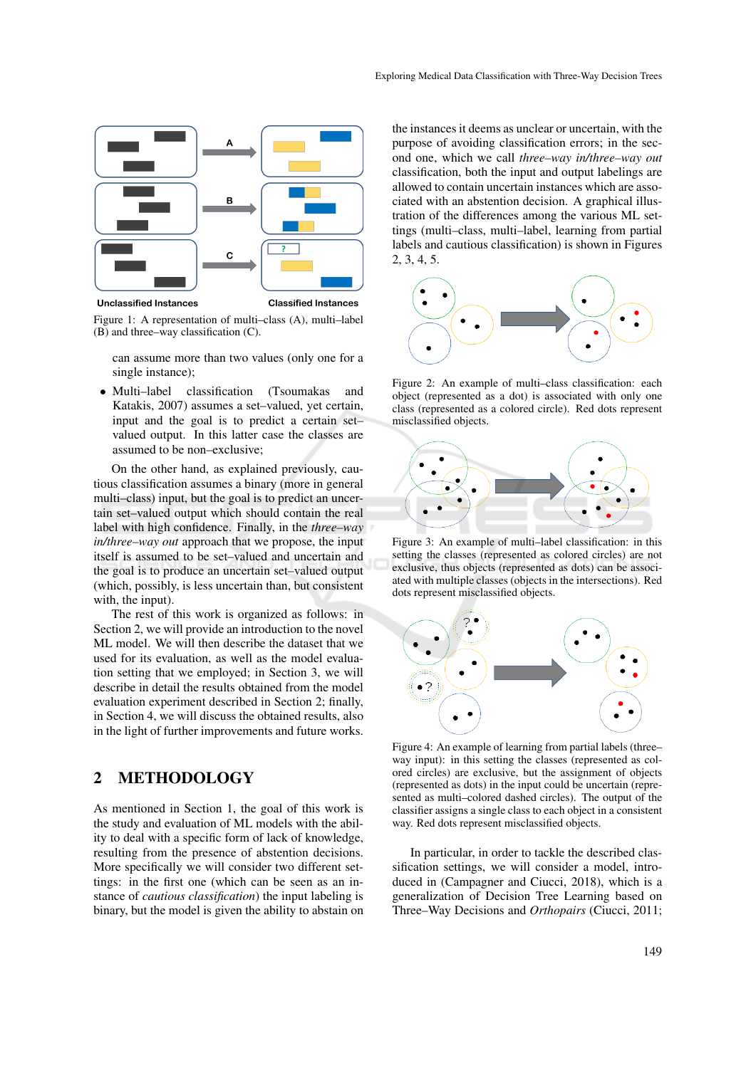

**Unclassified Instances Classified Instances** 

Figure 1: A representation of multi–class (A), multi–label (B) and three–way classification (C).

can assume more than two values (only one for a single instance);

• Multi–label classification (Tsoumakas and Katakis, 2007) assumes a set–valued, yet certain, input and the goal is to predict a certain set– valued output. In this latter case the classes are assumed to be non–exclusive;

On the other hand, as explained previously, cautious classification assumes a binary (more in general multi–class) input, but the goal is to predict an uncertain set–valued output which should contain the real label with high confidence. Finally, in the *three–way in/three–way out* approach that we propose, the input itself is assumed to be set–valued and uncertain and the goal is to produce an uncertain set–valued output (which, possibly, is less uncertain than, but consistent with, the input).

The rest of this work is organized as follows: in Section 2, we will provide an introduction to the novel ML model. We will then describe the dataset that we used for its evaluation, as well as the model evaluation setting that we employed; in Section 3, we will describe in detail the results obtained from the model evaluation experiment described in Section 2; finally, in Section 4, we will discuss the obtained results, also in the light of further improvements and future works.

## 2 METHODOLOGY

As mentioned in Section 1, the goal of this work is the study and evaluation of ML models with the ability to deal with a specific form of lack of knowledge, resulting from the presence of abstention decisions. More specifically we will consider two different settings: in the first one (which can be seen as an instance of *cautious classification*) the input labeling is binary, but the model is given the ability to abstain on

the instances it deems as unclear or uncertain, with the purpose of avoiding classification errors; in the second one, which we call *three–way in/three–way out* classification, both the input and output labelings are allowed to contain uncertain instances which are associated with an abstention decision. A graphical illustration of the differences among the various ML settings (multi–class, multi–label, learning from partial labels and cautious classification) is shown in Figures 2, 3, 4, 5.



Figure 2: An example of multi–class classification: each object (represented as a dot) is associated with only one class (represented as a colored circle). Red dots represent misclassified objects.



Figure 3: An example of multi–label classification: in this setting the classes (represented as colored circles) are not exclusive, thus objects (represented as dots) can be associated with multiple classes (objects in the intersections). Red dots represent misclassified objects.



Figure 4: An example of learning from partial labels (three– way input): in this setting the classes (represented as colored circles) are exclusive, but the assignment of objects (represented as dots) in the input could be uncertain (represented as multi–colored dashed circles). The output of the classifier assigns a single class to each object in a consistent way. Red dots represent misclassified objects.

In particular, in order to tackle the described classification settings, we will consider a model, introduced in (Campagner and Ciucci, 2018), which is a generalization of Decision Tree Learning based on Three–Way Decisions and *Orthopairs* (Ciucci, 2011;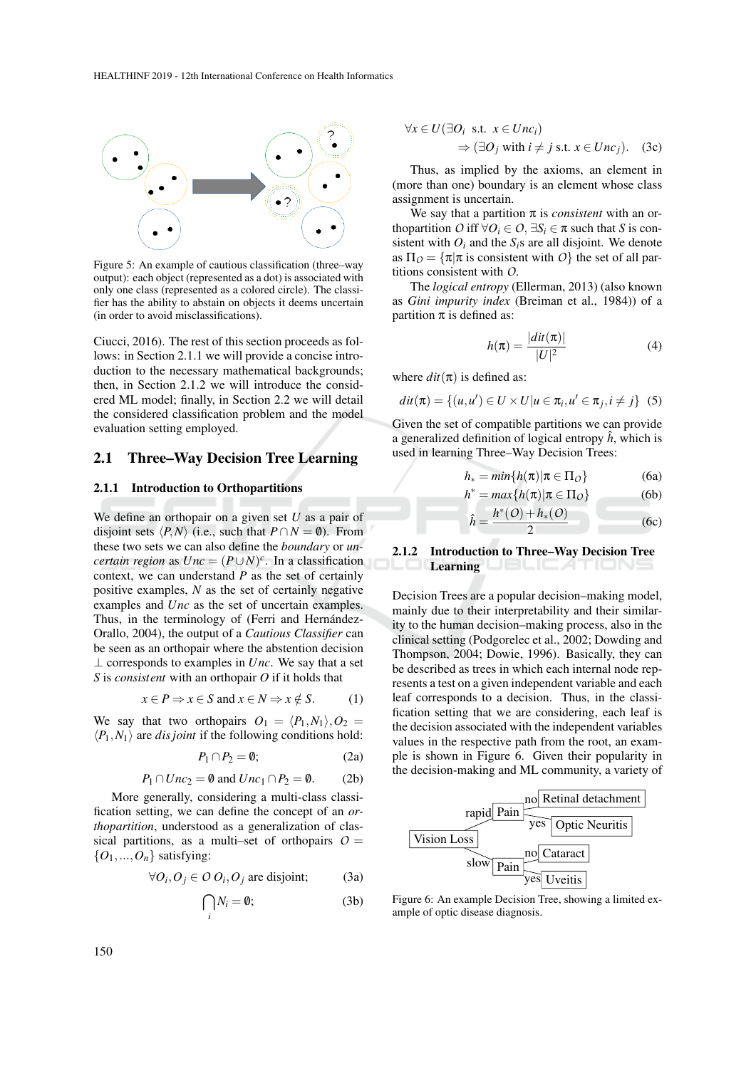

Figure 5: An example of cautious classification (three–way output): each object (represented as a dot) is associated with only one class (represented as a colored circle). The classifier has the ability to abstain on objects it deems uncertain (in order to avoid misclassifications).

Ciucci, 2016). The rest of this section proceeds as follows: in Section 2.1.1 we will provide a concise introduction to the necessary mathematical backgrounds; then, in Section 2.1.2 we will introduce the considered ML model; finally, in Section 2.2 we will detail the considered classification problem and the model evaluation setting employed.

#### 2.1 Three–Way Decision Tree Learning

#### 2.1.1 Introduction to Orthopartitions

We define an orthopair on a given set *U* as a pair of disjoint sets  $\langle P, N \rangle$  (i.e., such that  $P \cap N = \emptyset$ ). From these two sets we can also define the *boundary* or *uncertain region* as  $Unc = (P \cup N)^c$ . In a classification context, we can understand *P* as the set of certainly positive examples, *N* as the set of certainly negative examples and *Unc* as the set of uncertain examples. Thus, in the terminology of (Ferri and Hernández-Orallo, 2004), the output of a *Cautious Classifier* can be seen as an orthopair where the abstention decision  $\perp$  corresponds to examples in *Unc*. We say that a set *S* is *consistent* with an orthopair *O* if it holds that

$$
x \in P \Rightarrow x \in S \text{ and } x \in N \Rightarrow x \notin S. \tag{1}
$$

We say that two orthopairs  $O_1 = \langle P_1, N_1 \rangle$ ,  $O_2$  =  $\langle P_1, N_1 \rangle$  are *dis joint* if the following conditions hold:

$$
P_1 \cap P_2 = \emptyset; \tag{2a}
$$

$$
P_1 \cap Unc_2 = \emptyset \text{ and } Unc_1 \cap P_2 = \emptyset. \tag{2b}
$$

More generally, considering a multi-class classification setting, we can define the concept of an *orthopartition*, understood as a generalization of classical partitions, as a multi–set of orthopairs  $O =$  $\{O_1, ..., O_n\}$  satisfying:

$$
\forall O_i, O_j \in O O_i, O_j \text{ are disjoint}; \tag{3a}
$$

$$
\bigcap_i N_i = \emptyset;
$$
 (3b)

$$
\forall x \in U(\exists O_i \text{ s.t. } x \in Unc_i)
$$
  
\n
$$
\Rightarrow (\exists O_j \text{ with } i \neq j \text{ s.t. } x \in Unc_j).
$$
 (3c)

Thus, as implied by the axioms, an element in (more than one) boundary is an element whose class assignment is uncertain.

We say that a partition  $\pi$  is *consistent* with an orthopartition *O* iff  $\forall O_i \in O$ ,  $\exists S_i \in \pi$  such that *S* is consistent with  $O_i$  and the  $S_i$ s are all disjoint. We denote as  $\Pi_{\Omega} = {\pi | \pi \text{ is consistent with } \Omega}$  the set of all partitions consistent with *O*.

The *logical entropy* (Ellerman, 2013) (also known as *Gini impurity index* (Breiman et al., 1984)) of a partition  $\pi$  is defined as:

$$
h(\pi) = \frac{|dit(\pi)|}{|U|^2} \tag{4}
$$

where  $dit(\pi)$  is defined as:

 $\hat{h}$  =

$$
dit(\pi) = \{(u, u') \in U \times U | u \in \pi_i, u' \in \pi_j, i \neq j\} \quad (5)
$$

Given the set of compatible partitions we can provide a generalized definition of logical entropy  $\hat{h}$ , which is used in learning Three–Way Decision Trees:

$$
h_* = \min\{h(\pi)|\pi \in \Pi_O\} \tag{6a}
$$

$$
h^* = \max\{h(\pi)|\pi \in \Pi_O\} \tag{6b}
$$

$$
= \frac{h^*(O) + h_*(O)}{2} \tag{6c}
$$

#### 2.1.2 Introduction to Three–Way Decision Tree **Learning**

Decision Trees are a popular decision–making model, mainly due to their interpretability and their similarity to the human decision–making process, also in the clinical setting (Podgorelec et al., 2002; Dowding and Thompson, 2004; Dowie, 1996). Basically, they can be described as trees in which each internal node represents a test on a given independent variable and each leaf corresponds to a decision. Thus, in the classification setting that we are considering, each leaf is the decision associated with the independent variables values in the respective path from the root, an example is shown in Figure 6. Given their popularity in the decision-making and ML community, a variety of



Figure 6: An example Decision Tree, showing a limited example of optic disease diagnosis.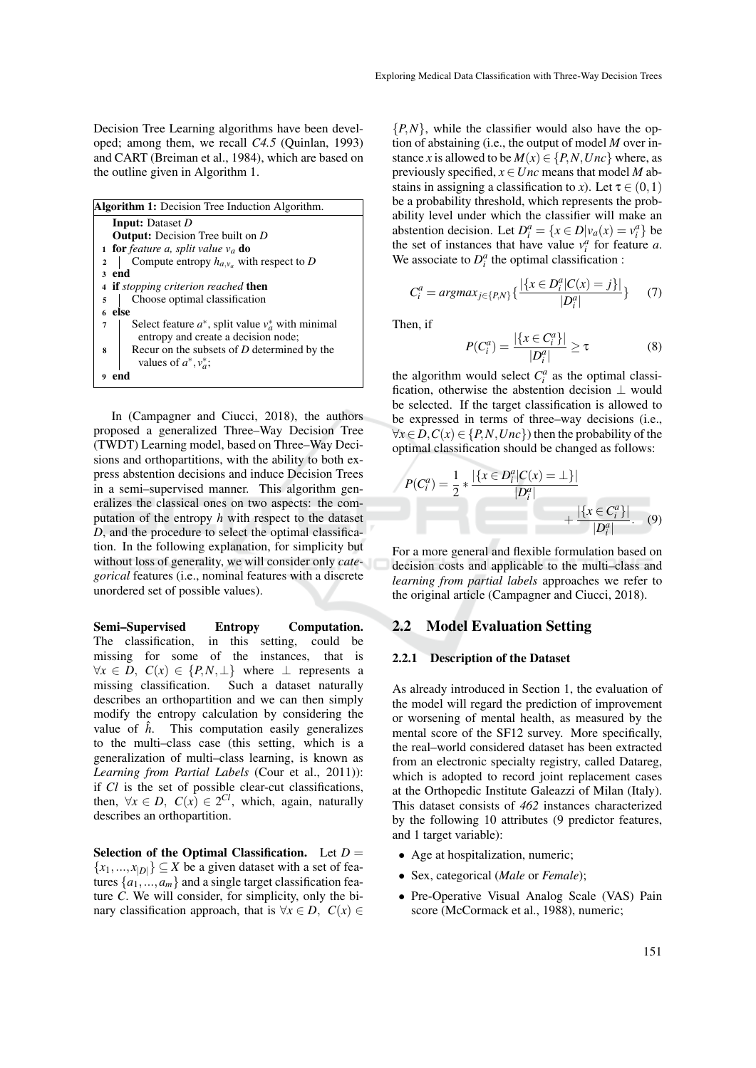Decision Tree Learning algorithms have been developed; among them, we recall *C4.5* (Quinlan, 1993) and CART (Breiman et al., 1984), which are based on the outline given in Algorithm 1.

| <b>Algorithm 1:</b> Decision Tree Induction Algorithm.        |  |  |  |  |
|---------------------------------------------------------------|--|--|--|--|
| <b>Input:</b> Dataset D                                       |  |  |  |  |
| <b>Output:</b> Decision Tree built on D                       |  |  |  |  |
| <b>1 for</b> feature a, split value $v_a$ <b>do</b>           |  |  |  |  |
| Compute entropy $h_{a,v_a}$ with respect to D<br>$\mathbf{2}$ |  |  |  |  |
| 3 end                                                         |  |  |  |  |
| 4 if stopping criterion reached then                          |  |  |  |  |
| Choose optimal classification<br>5                            |  |  |  |  |
| 6 else                                                        |  |  |  |  |
| Select feature $a^*$ , split value $v_a^*$ with minimal<br>7  |  |  |  |  |
| entropy and create a decision node;                           |  |  |  |  |
| Recur on the subsets of $D$ determined by the<br>8            |  |  |  |  |
| values of $a^*, v_a^*$ ;                                      |  |  |  |  |
|                                                               |  |  |  |  |

In (Campagner and Ciucci, 2018), the authors proposed a generalized Three–Way Decision Tree (TWDT) Learning model, based on Three–Way Decisions and orthopartitions, with the ability to both express abstention decisions and induce Decision Trees in a semi–supervised manner. This algorithm generalizes the classical ones on two aspects: the computation of the entropy *h* with respect to the dataset *D*, and the procedure to select the optimal classification. In the following explanation, for simplicity but without loss of generality, we will consider only *categorical* features (i.e., nominal features with a discrete unordered set of possible values).

Semi–Supervised Entropy Computation. The classification, in this setting, could be missing for some of the instances, that is  $\forall x \in D$ ,  $C(x) \in \{P, N, \perp\}$  where ⊥ represents a missing classification. Such a dataset naturally describes an orthopartition and we can then simply modify the entropy calculation by considering the value of  $\hat{h}$ . This computation easily generalizes to the multi–class case (this setting, which is a generalization of multi–class learning, is known as *Learning from Partial Labels* (Cour et al., 2011)): if *Cl* is the set of possible clear-cut classifications, then,  $\forall x \in D$ ,  $C(x) \in 2^{Cl}$ , which, again, naturally describes an orthopartition.

Selection of the Optimal Classification. Let  $D =$  ${x_1,...,x_{|D|}} \subseteq X$  be a given dataset with a set of features  $\{a_1, ..., a_m\}$  and a single target classification feature *C*. We will consider, for simplicity, only the binary classification approach, that is  $\forall x \in D$ ,  $C(x) \in$ 

 ${P, N}$ , while the classifier would also have the option of abstaining (i.e., the output of model *M* over instance *x* is allowed to be  $M(x) \in \{P, N, Unc\}$  where, as previously specified,  $x \in$  *Unc* means that model *M* abstains in assigning a classification to *x*). Let  $\tau \in (0,1)$ be a probability threshold, which represents the probability level under which the classifier will make an abstention decision. Let  $D_i^a = \{x \in D | v_a(x) = v_i^a\}$  be the set of instances that have value  $v_i^a$  for feature *a*. We associate to  $D_i^a$  the optimal classification :

$$
C_i^a = \operatorname{argmax}_{j \in \{P, N\}} \{ \frac{|\{x \in D_i^a | C(x) = j\}|}{|D_i^a|} \} \tag{7}
$$

Then, if

$$
P(C_i^a) = \frac{|\{x \in C_i^a\}|}{|D_i^a|} \ge \tau
$$
 (8)

the algorithm would select  $C_i^a$  as the optimal classification, otherwise the abstention decision  $\perp$  would be selected. If the target classification is allowed to be expressed in terms of three–way decisions (i.e.,  $\forall x \in D$ ,  $C(x) \in \{P, N, U \in \}$  then the probability of the optimal classification should be changed as follows:

$$
P(C_i^a) = \frac{1}{2} * \frac{|\{x \in D_i^a | C(x) = \bot\}|}{|D_i^a|} + \frac{|\{x \in C_i^a\}|}{|D_i^a|}. \quad (9)
$$

For a more general and flexible formulation based on decision costs and applicable to the multi–class and *learning from partial labels* approaches we refer to the original article (Campagner and Ciucci, 2018).

### 2.2 Model Evaluation Setting

#### 2.2.1 Description of the Dataset

As already introduced in Section 1, the evaluation of the model will regard the prediction of improvement or worsening of mental health, as measured by the mental score of the SF12 survey. More specifically, the real–world considered dataset has been extracted from an electronic specialty registry, called Datareg, which is adopted to record joint replacement cases at the Orthopedic Institute Galeazzi of Milan (Italy). This dataset consists of *462* instances characterized by the following 10 attributes (9 predictor features, and 1 target variable):

- Age at hospitalization, numeric;
- Sex, categorical (*Male* or *Female*);
- Pre-Operative Visual Analog Scale (VAS) Pain score (McCormack et al., 1988), numeric;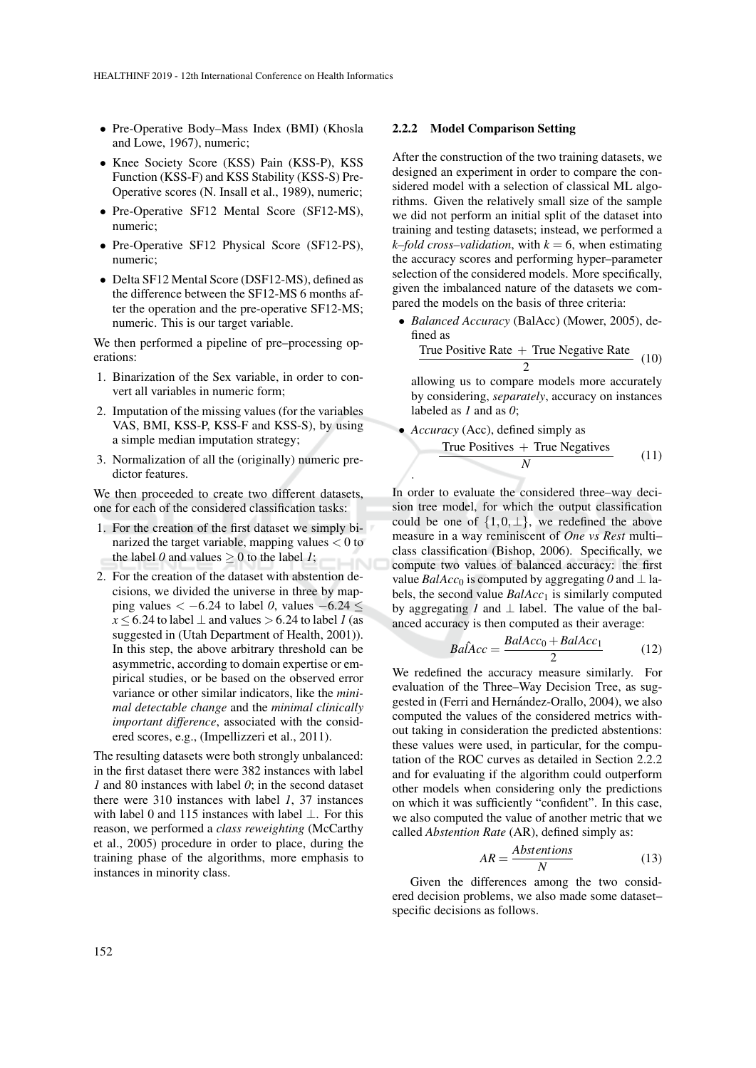- Pre-Operative Body–Mass Index (BMI) (Khosla and Lowe, 1967), numeric;
- Knee Society Score (KSS) Pain (KSS-P), KSS Function (KSS-F) and KSS Stability (KSS-S) Pre-Operative scores (N. Insall et al., 1989), numeric;
- Pre-Operative SF12 Mental Score (SF12-MS), numeric;
- Pre-Operative SF12 Physical Score (SF12-PS), numeric;
- Delta SF12 Mental Score (DSF12-MS), defined as the difference between the SF12-MS 6 months after the operation and the pre-operative SF12-MS; numeric. This is our target variable.

We then performed a pipeline of pre–processing operations:

- 1. Binarization of the Sex variable, in order to convert all variables in numeric form;
- 2. Imputation of the missing values (for the variables VAS, BMI, KSS-P, KSS-F and KSS-S), by using a simple median imputation strategy;
- 3. Normalization of all the (originally) numeric predictor features.

We then proceeded to create two different datasets, one for each of the considered classification tasks:

- 1. For the creation of the first dataset we simply binarized the target variable, mapping values  $< 0$  to the label 0 and values  $\geq 0$  to the label 1;
- 2. For the creation of the dataset with abstention decisions, we divided the universe in three by mapping values  $\lt -6.24$  to label 0, values  $-6.24 \lt$  $x \le 6.24$  to label  $\perp$  and values > 6.24 to label *1* (as suggested in (Utah Department of Health, 2001)). In this step, the above arbitrary threshold can be asymmetric, according to domain expertise or empirical studies, or be based on the observed error variance or other similar indicators, like the *minimal detectable change* and the *minimal clinically important difference*, associated with the considered scores, e.g., (Impellizzeri et al., 2011).

The resulting datasets were both strongly unbalanced: in the first dataset there were 382 instances with label *1* and 80 instances with label *0*; in the second dataset there were 310 instances with label *1*, 37 instances with label 0 and 115 instances with label ⊥. For this reason, we performed a *class reweighting* (McCarthy et al., 2005) procedure in order to place, during the training phase of the algorithms, more emphasis to instances in minority class.

#### 2.2.2 Model Comparison Setting

After the construction of the two training datasets, we designed an experiment in order to compare the considered model with a selection of classical ML algorithms. Given the relatively small size of the sample we did not perform an initial split of the dataset into training and testing datasets; instead, we performed a *k–fold cross–validation*, with  $k = 6$ , when estimating the accuracy scores and performing hyper–parameter selection of the considered models. More specifically, given the imbalanced nature of the datasets we compared the models on the basis of three criteria:

• *Balanced Accuracy* (BalAcc) (Mower, 2005), defined as

$$
\frac{\text{True Positive Rate} + \text{True Negative Rate}}{2} \tag{10}
$$

allowing us to compare models more accurately by considering, *separately*, accuracy on instances labeled as *1* and as *0*;

• *Accuracy* (Acc), defined simply as

.

$$
\frac{\text{True Positives} + \text{True Negatives}}{N} \tag{11}
$$

In order to evaluate the considered three–way decision tree model, for which the output classification could be one of  $\{1,0,\perp\}$ , we redefined the above measure in a way reminiscent of *One vs Rest* multi– class classification (Bishop, 2006). Specifically, we compute two values of balanced accuracy: the first value *BalAcc*<sup>0</sup> is computed by aggregating 0 and  $\perp$  labels, the second value *BalAcc*<sub>1</sub> is similarly computed by aggregating *1* and  $\perp$  label. The value of the balanced accuracy is then computed as their average:

$$
Ba\hat{I}Acc = \frac{BalAcc_0 + BalAcc_1}{2} \tag{12}
$$

We redefined the accuracy measure similarly. For evaluation of the Three–Way Decision Tree, as suggested in (Ferri and Hernández-Orallo, 2004), we also computed the values of the considered metrics without taking in consideration the predicted abstentions: these values were used, in particular, for the computation of the ROC curves as detailed in Section 2.2.2 and for evaluating if the algorithm could outperform other models when considering only the predictions on which it was sufficiently "confident". In this case, we also computed the value of another metric that we called *Abstention Rate* (AR), defined simply as:

$$
AR = \frac{Abstentials}{N}
$$
 (13)

Given the differences among the two considered decision problems, we also made some dataset– specific decisions as follows.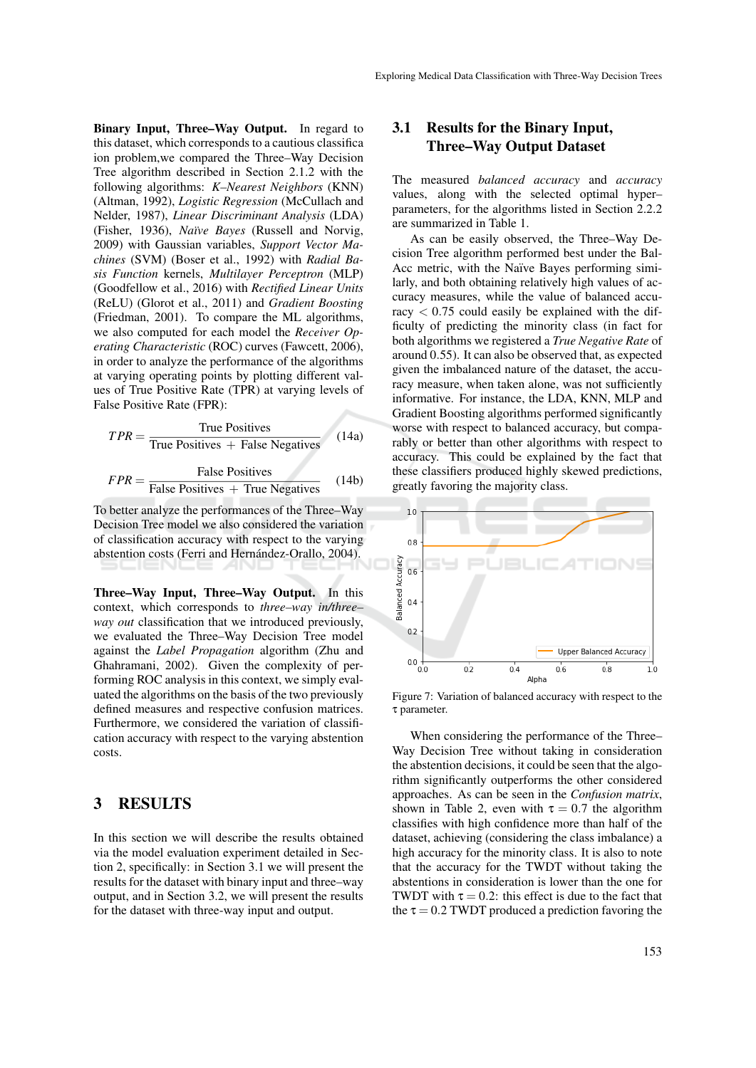Binary Input, Three–Way Output. In regard to this dataset, which corresponds to a cautious classifica ion problem,we compared the Three–Way Decision Tree algorithm described in Section 2.1.2 with the following algorithms: *K–Nearest Neighbors* (KNN) (Altman, 1992), *Logistic Regression* (McCullach and Nelder, 1987), *Linear Discriminant Analysis* (LDA) (Fisher, 1936), *Na¨ıve Bayes* (Russell and Norvig, 2009) with Gaussian variables, *Support Vector Machines* (SVM) (Boser et al., 1992) with *Radial Basis Function* kernels, *Multilayer Perceptron* (MLP) (Goodfellow et al., 2016) with *Rectified Linear Units* (ReLU) (Glorot et al., 2011) and *Gradient Boosting* (Friedman, 2001). To compare the ML algorithms, we also computed for each model the *Receiver Operating Characteristic* (ROC) curves (Fawcett, 2006), in order to analyze the performance of the algorithms at varying operating points by plotting different values of True Positive Rate (TPR) at varying levels of False Positive Rate (FPR):

$$
TPR = \frac{\text{True Positives}}{\text{True Positives} + \text{False Negatives}} \quad (14a)
$$

$$
FPR = \frac{\text{False Positives}}{\text{False Positives} + \text{True Negatives}} \quad (14b)
$$

To better analyze the performances of the Three–Way Decision Tree model we also considered the variation of classification accuracy with respect to the varying abstention costs (Ferri and Hernández-Orallo, 2004).

Three–Way Input, Three–Way Output. In this context, which corresponds to *three–way in/three– way out* classification that we introduced previously, we evaluated the Three–Way Decision Tree model against the *Label Propagation* algorithm (Zhu and Ghahramani, 2002). Given the complexity of performing ROC analysis in this context, we simply evaluated the algorithms on the basis of the two previously defined measures and respective confusion matrices. Furthermore, we considered the variation of classification accuracy with respect to the varying abstention costs.

### 3 RESULTS

In this section we will describe the results obtained via the model evaluation experiment detailed in Section 2, specifically: in Section 3.1 we will present the results for the dataset with binary input and three–way output, and in Section 3.2, we will present the results for the dataset with three-way input and output.

### 3.1 Results for the Binary Input, Three–Way Output Dataset

The measured *balanced accuracy* and *accuracy* values, along with the selected optimal hyper– parameters, for the algorithms listed in Section 2.2.2 are summarized in Table 1.

As can be easily observed, the Three–Way Decision Tree algorithm performed best under the Bal-Acc metric, with the Naïve Bayes performing similarly, and both obtaining relatively high values of accuracy measures, while the value of balanced accuracy  $< 0.75$  could easily be explained with the difficulty of predicting the minority class (in fact for both algorithms we registered a *True Negative Rate* of around 0.55). It can also be observed that, as expected given the imbalanced nature of the dataset, the accuracy measure, when taken alone, was not sufficiently informative. For instance, the LDA, KNN, MLP and Gradient Boosting algorithms performed significantly worse with respect to balanced accuracy, but comparably or better than other algorithms with respect to accuracy. This could be explained by the fact that these classifiers produced highly skewed predictions, greatly favoring the majority class.



Figure 7: Variation of balanced accuracy with respect to the τ parameter.

When considering the performance of the Three– Way Decision Tree without taking in consideration the abstention decisions, it could be seen that the algorithm significantly outperforms the other considered approaches. As can be seen in the *Confusion matrix*, shown in Table 2, even with  $\tau = 0.7$  the algorithm classifies with high confidence more than half of the dataset, achieving (considering the class imbalance) a high accuracy for the minority class. It is also to note that the accuracy for the TWDT without taking the abstentions in consideration is lower than the one for TWDT with  $\tau = 0.2$ : this effect is due to the fact that the  $\tau = 0.2$  TWDT produced a prediction favoring the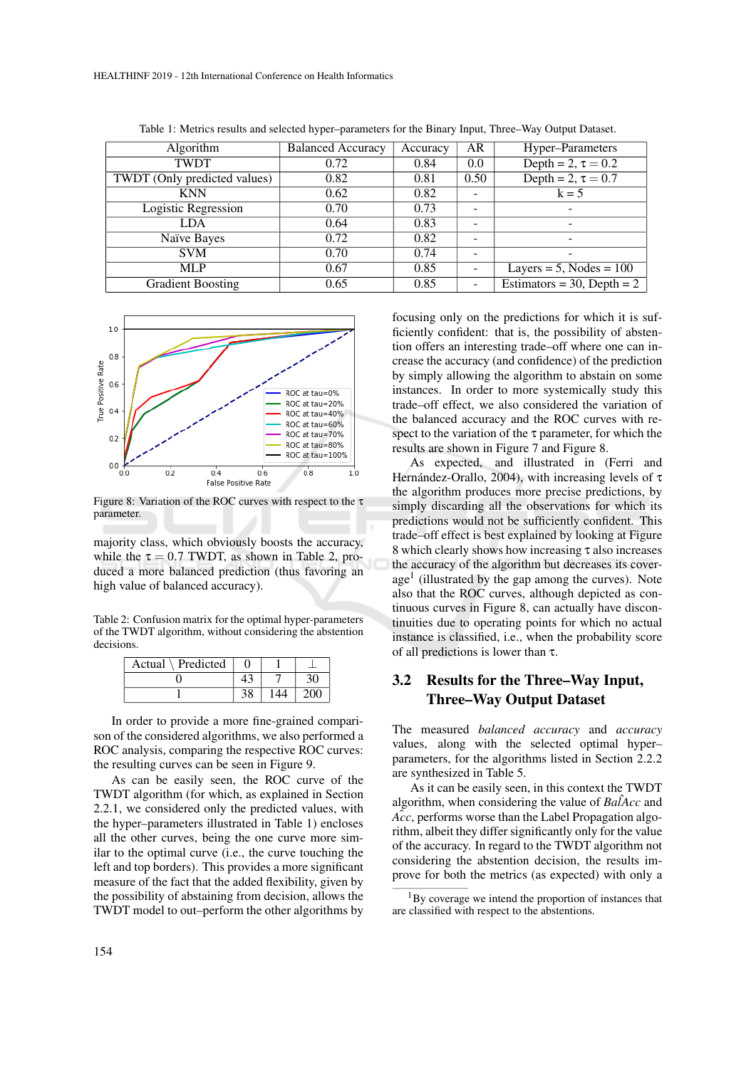| Algorithm                    | <b>Balanced Accuracy</b> | Accuracy | AR   | Hyper-Parameters             |
|------------------------------|--------------------------|----------|------|------------------------------|
| <b>TWDT</b>                  | 0.72                     | 0.84     | 0.0  | Depth = $2, \tau = 0.2$      |
| TWDT (Only predicted values) | 0.82                     | 0.81     | 0.50 | Depth = $2, \tau = 0.7$      |
| <b>KNN</b>                   | 0.62                     | 0.82     |      | $k = 5$                      |
| Logistic Regression          | 0.70                     | 0.73     |      |                              |
| LDA                          | 0.64                     | 0.83     |      |                              |
| Naïve Bayes                  | 0.72                     | 0.82     |      | -                            |
| <b>SVM</b>                   | 0.70                     | 0.74     |      |                              |
| <b>MLP</b>                   | 0.67                     | 0.85     |      | Layers = $5$ , Nodes = $100$ |
| <b>Gradient Boosting</b>     | 0.65                     | 0.85     |      | Estimators = 30, Depth = 2   |

Table 1: Metrics results and selected hyper–parameters for the Binary Input, Three–Way Output Dataset.



Figure 8: Variation of the ROC curves with respect to the  $\tau$ parameter.

majority class, which obviously boosts the accuracy, while the  $\tau = 0.7$  TWDT, as shown in Table 2, produced a more balanced prediction (thus favoring an high value of balanced accuracy).

Table 2: Confusion matrix for the optimal hyper-parameters of the TWDT algorithm, without considering the abstention decisions.

| Actual \ Predicted |    |     |
|--------------------|----|-----|
|                    |    |     |
|                    | 38 | 200 |

In order to provide a more fine-grained comparison of the considered algorithms, we also performed a ROC analysis, comparing the respective ROC curves: the resulting curves can be seen in Figure 9.

As can be easily seen, the ROC curve of the TWDT algorithm (for which, as explained in Section 2.2.1, we considered only the predicted values, with the hyper–parameters illustrated in Table 1) encloses all the other curves, being the one curve more similar to the optimal curve (i.e., the curve touching the left and top borders). This provides a more significant measure of the fact that the added flexibility, given by the possibility of abstaining from decision, allows the TWDT model to out–perform the other algorithms by

focusing only on the predictions for which it is sufficiently confident: that is, the possibility of abstention offers an interesting trade–off where one can increase the accuracy (and confidence) of the prediction by simply allowing the algorithm to abstain on some instances. In order to more systemically study this trade–off effect, we also considered the variation of the balanced accuracy and the ROC curves with respect to the variation of the  $\tau$  parameter, for which the results are shown in Figure 7 and Figure 8.

As expected, and illustrated in (Ferri and Hernández-Orallo, 2004), with increasing levels of  $\tau$ the algorithm produces more precise predictions, by simply discarding all the observations for which its predictions would not be sufficiently confident. This trade–off effect is best explained by looking at Figure 8 which clearly shows how increasing τ also increases the accuracy of the algorithm but decreases its coverage<sup>1</sup> (illustrated by the gap among the curves). Note also that the ROC curves, although depicted as continuous curves in Figure 8, can actually have discontinuities due to operating points for which no actual instance is classified, i.e., when the probability score of all predictions is lower than τ.

### 3.2 Results for the Three–Way Input, Three–Way Output Dataset

The measured *balanced accuracy* and *accuracy* values, along with the selected optimal hyper– parameters, for the algorithms listed in Section 2.2.2 are synthesized in Table 5.

As it can be easily seen, in this context the TWDT algorithm, when considering the value of  $Ba\hat{A}cc$  and  $\hat{Acc}$ , performs worse than the Label Propagation algorithm, albeit they differ significantly only for the value of the accuracy. In regard to the TWDT algorithm not considering the abstention decision, the results improve for both the metrics (as expected) with only a

<sup>&</sup>lt;sup>1</sup>By coverage we intend the proportion of instances that are classified with respect to the abstentions.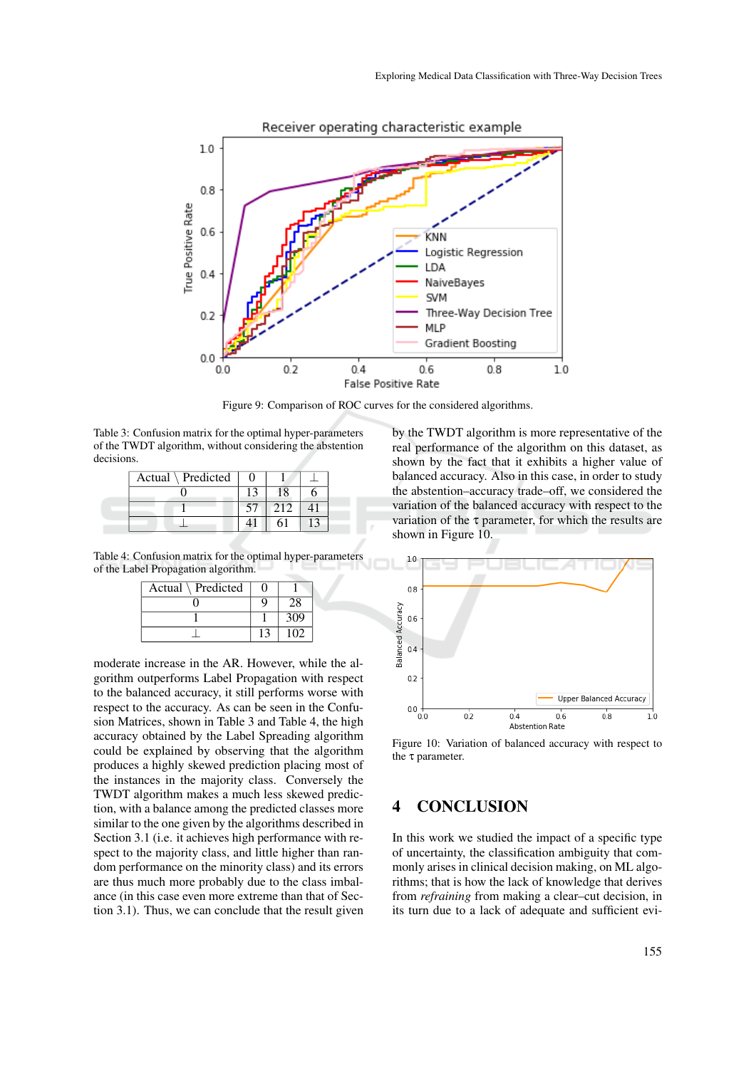

Receiver operating characteristic example

Figure 9: Comparison of ROC curves for the considered algorithms.

Table 3: Confusion matrix for the optimal hyper-parameters of the TWDT algorithm, without considering the abstention decisions.

| Actual $\setminus$ Predicted |   |  |
|------------------------------|---|--|
|                              | 8 |  |
|                              |   |  |
|                              |   |  |

Table 4: Confusion matrix for the optimal hyper-parameters of the Label Propagation algorithm.

| Actual \ Predicted |     |  |
|--------------------|-----|--|
|                    |     |  |
|                    | 309 |  |
|                    |     |  |

moderate increase in the AR. However, while the algorithm outperforms Label Propagation with respect to the balanced accuracy, it still performs worse with respect to the accuracy. As can be seen in the Confusion Matrices, shown in Table 3 and Table 4, the high accuracy obtained by the Label Spreading algorithm could be explained by observing that the algorithm produces a highly skewed prediction placing most of the instances in the majority class. Conversely the TWDT algorithm makes a much less skewed prediction, with a balance among the predicted classes more similar to the one given by the algorithms described in Section 3.1 (i.e. it achieves high performance with respect to the majority class, and little higher than random performance on the minority class) and its errors are thus much more probably due to the class imbalance (in this case even more extreme than that of Section 3.1). Thus, we can conclude that the result given

by the TWDT algorithm is more representative of the real performance of the algorithm on this dataset, as shown by the fact that it exhibits a higher value of balanced accuracy. Also in this case, in order to study the abstention–accuracy trade–off, we considered the variation of the balanced accuracy with respect to the variation of the  $\tau$  parameter, for which the results are shown in Figure 10.



Figure 10: Variation of balanced accuracy with respect to the τ parameter.

### 4 CONCLUSION

In this work we studied the impact of a specific type of uncertainty, the classification ambiguity that commonly arises in clinical decision making, on ML algorithms; that is how the lack of knowledge that derives from *refraining* from making a clear–cut decision, in its turn due to a lack of adequate and sufficient evi-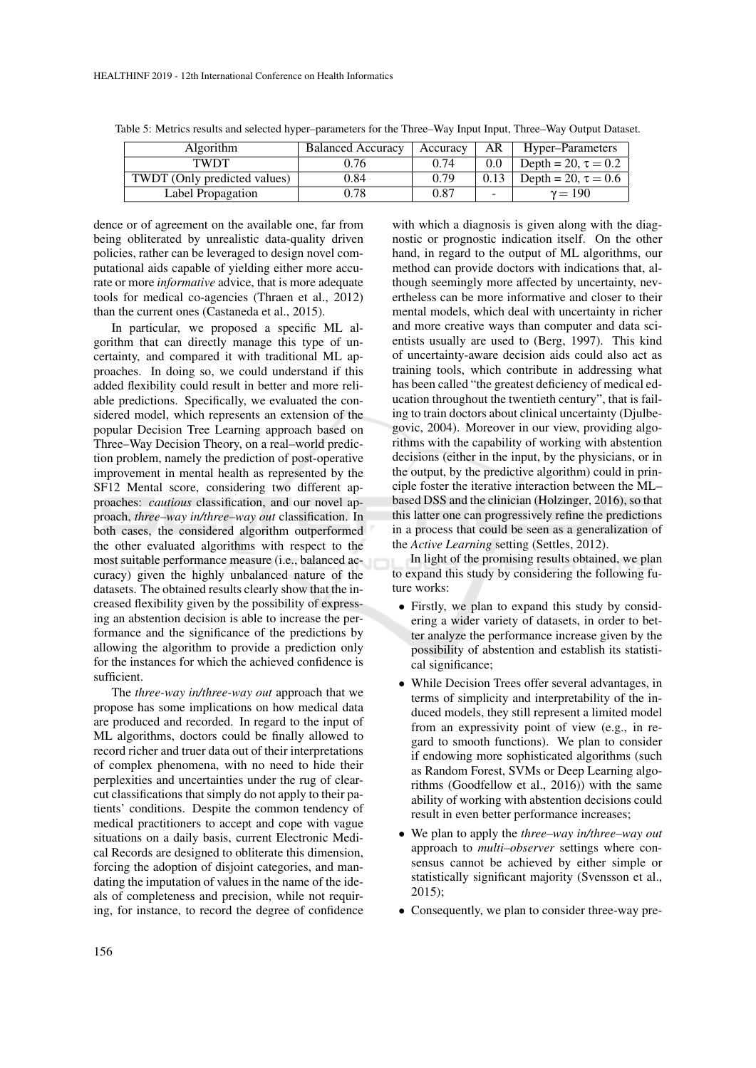| <b>Algorithm</b>             | <b>Balanced Accuracy</b> | Accuracy | AR                       | Hyper–Parameters         |
|------------------------------|--------------------------|----------|--------------------------|--------------------------|
| TWDT                         | 0.76                     | 0.74     | 0.0                      | Depth = 20, $\tau = 0.2$ |
| TWDT (Only predicted values) | 0.84                     | 0.79     | 0.13                     | Depth = 20, $\tau = 0.6$ |
| Label Propagation            | 0.78                     | 0.87     | $\overline{\phantom{a}}$ | $v = 190$                |

Table 5: Metrics results and selected hyper–parameters for the Three–Way Input Input, Three–Way Output Dataset.

dence or of agreement on the available one, far from being obliterated by unrealistic data-quality driven policies, rather can be leveraged to design novel computational aids capable of yielding either more accurate or more *informative* advice, that is more adequate tools for medical co-agencies (Thraen et al., 2012) than the current ones (Castaneda et al., 2015).

In particular, we proposed a specific ML algorithm that can directly manage this type of uncertainty, and compared it with traditional ML approaches. In doing so, we could understand if this added flexibility could result in better and more reliable predictions. Specifically, we evaluated the considered model, which represents an extension of the popular Decision Tree Learning approach based on Three–Way Decision Theory, on a real–world prediction problem, namely the prediction of post-operative improvement in mental health as represented by the SF12 Mental score, considering two different approaches: *cautious* classification, and our novel approach, *three–way in/three–way out* classification. In both cases, the considered algorithm outperformed the other evaluated algorithms with respect to the most suitable performance measure (i.e., balanced accuracy) given the highly unbalanced nature of the datasets. The obtained results clearly show that the increased flexibility given by the possibility of expressing an abstention decision is able to increase the performance and the significance of the predictions by allowing the algorithm to provide a prediction only for the instances for which the achieved confidence is sufficient.

The *three-way in/three-way out* approach that we propose has some implications on how medical data are produced and recorded. In regard to the input of ML algorithms, doctors could be finally allowed to record richer and truer data out of their interpretations of complex phenomena, with no need to hide their perplexities and uncertainties under the rug of clearcut classifications that simply do not apply to their patients' conditions. Despite the common tendency of medical practitioners to accept and cope with vague situations on a daily basis, current Electronic Medical Records are designed to obliterate this dimension, forcing the adoption of disjoint categories, and mandating the imputation of values in the name of the ideals of completeness and precision, while not requiring, for instance, to record the degree of confidence

with which a diagnosis is given along with the diagnostic or prognostic indication itself. On the other hand, in regard to the output of ML algorithms, our method can provide doctors with indications that, although seemingly more affected by uncertainty, nevertheless can be more informative and closer to their mental models, which deal with uncertainty in richer and more creative ways than computer and data scientists usually are used to (Berg, 1997). This kind of uncertainty-aware decision aids could also act as training tools, which contribute in addressing what has been called "the greatest deficiency of medical education throughout the twentieth century", that is failing to train doctors about clinical uncertainty (Djulbegovic, 2004). Moreover in our view, providing algorithms with the capability of working with abstention decisions (either in the input, by the physicians, or in the output, by the predictive algorithm) could in principle foster the iterative interaction between the ML– based DSS and the clinician (Holzinger, 2016), so that this latter one can progressively refine the predictions in a process that could be seen as a generalization of the *Active Learning* setting (Settles, 2012).

In light of the promising results obtained, we plan to expand this study by considering the following future works:

- Firstly, we plan to expand this study by considering a wider variety of datasets, in order to better analyze the performance increase given by the possibility of abstention and establish its statistical significance;
- While Decision Trees offer several advantages, in terms of simplicity and interpretability of the induced models, they still represent a limited model from an expressivity point of view (e.g., in regard to smooth functions). We plan to consider if endowing more sophisticated algorithms (such as Random Forest, SVMs or Deep Learning algorithms (Goodfellow et al., 2016)) with the same ability of working with abstention decisions could result in even better performance increases;
- We plan to apply the *three–way in/three–way out* approach to *multi–observer* settings where consensus cannot be achieved by either simple or statistically significant majority (Svensson et al., 2015);
- Consequently, we plan to consider three-way pre-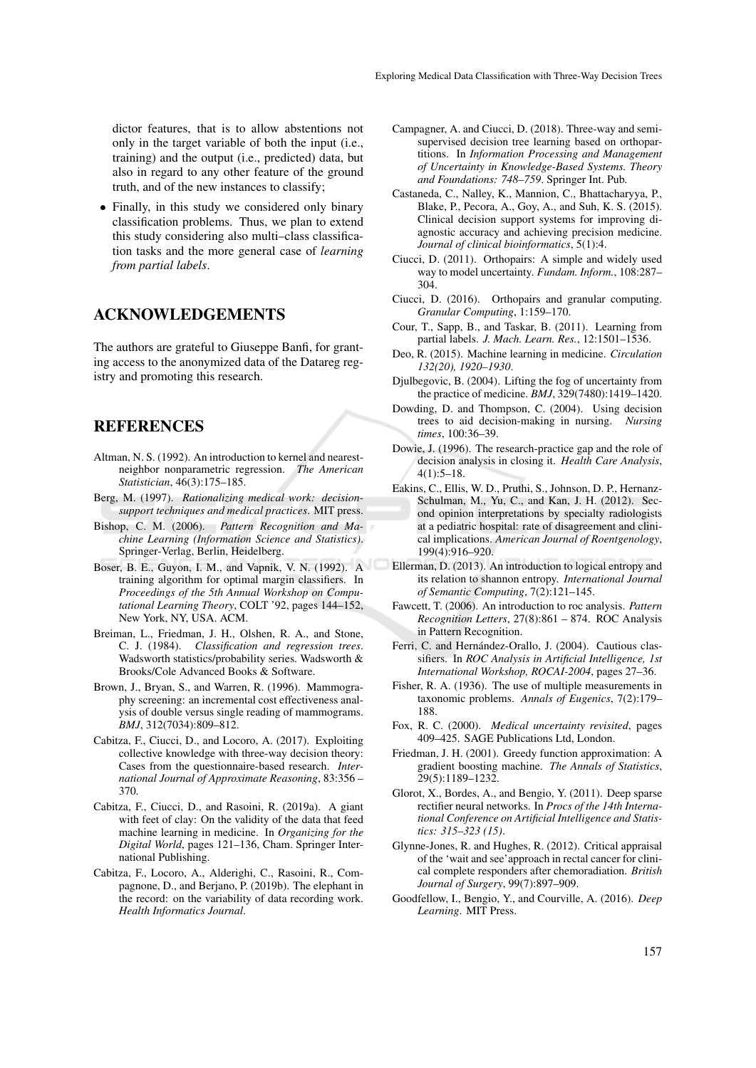dictor features, that is to allow abstentions not only in the target variable of both the input (i.e., training) and the output (i.e., predicted) data, but also in regard to any other feature of the ground truth, and of the new instances to classify;

• Finally, in this study we considered only binary classification problems. Thus, we plan to extend this study considering also multi–class classification tasks and the more general case of *learning from partial labels*.

### ACKNOWLEDGEMENTS

The authors are grateful to Giuseppe Banfi, for granting access to the anonymized data of the Datareg registry and promoting this research.

### REFERENCES

- Altman, N. S. (1992). An introduction to kernel and nearestneighbor nonparametric regression. *The American Statistician*, 46(3):175–185.
- Berg, M. (1997). *Rationalizing medical work: decisionsupport techniques and medical practices*. MIT press.
- Bishop, C. M. (2006). *Pattern Recognition and Machine Learning (Information Science and Statistics)*. Springer-Verlag, Berlin, Heidelberg.
- Boser, B. E., Guyon, I. M., and Vapnik, V. N. (1992). A training algorithm for optimal margin classifiers. In *Proceedings of the 5th Annual Workshop on Computational Learning Theory*, COLT '92, pages 144–152, New York, NY, USA. ACM.
- Breiman, L., Friedman, J. H., Olshen, R. A., and Stone, C. J. (1984). *Classification and regression trees*. Wadsworth statistics/probability series. Wadsworth & Brooks/Cole Advanced Books & Software.
- Brown, J., Bryan, S., and Warren, R. (1996). Mammography screening: an incremental cost effectiveness analysis of double versus single reading of mammograms. *BMJ*, 312(7034):809–812.
- Cabitza, F., Ciucci, D., and Locoro, A. (2017). Exploiting collective knowledge with three-way decision theory: Cases from the questionnaire-based research. *International Journal of Approximate Reasoning*, 83:356 – 370.
- Cabitza, F., Ciucci, D., and Rasoini, R. (2019a). A giant with feet of clay: On the validity of the data that feed machine learning in medicine. In *Organizing for the Digital World*, pages 121–136, Cham. Springer International Publishing.
- Cabitza, F., Locoro, A., Alderighi, C., Rasoini, R., Compagnone, D., and Berjano, P. (2019b). The elephant in the record: on the variability of data recording work. *Health Informatics Journal*.
- Campagner, A. and Ciucci, D. (2018). Three-way and semisupervised decision tree learning based on orthopartitions. In *Information Processing and Management of Uncertainty in Knowledge-Based Systems. Theory and Foundations: 748–759*. Springer Int. Pub.
- Castaneda, C., Nalley, K., Mannion, C., Bhattacharyya, P., Blake, P., Pecora, A., Goy, A., and Suh, K. S. (2015). Clinical decision support systems for improving diagnostic accuracy and achieving precision medicine. *Journal of clinical bioinformatics*, 5(1):4.
- Ciucci, D. (2011). Orthopairs: A simple and widely used way to model uncertainty. *Fundam. Inform.*, 108:287– 304.
- Ciucci, D. (2016). Orthopairs and granular computing. *Granular Computing*, 1:159–170.
- Cour, T., Sapp, B., and Taskar, B. (2011). Learning from partial labels. *J. Mach. Learn. Res.*, 12:1501–1536.
- Deo, R. (2015). Machine learning in medicine. *Circulation 132(20), 1920–1930*.
- Djulbegovic, B. (2004). Lifting the fog of uncertainty from the practice of medicine. *BMJ*, 329(7480):1419–1420.
- Dowding, D. and Thompson, C. (2004). Using decision trees to aid decision-making in nursing. *Nursing times*, 100:36–39.
- Dowie, J. (1996). The research-practice gap and the role of decision analysis in closing it. *Health Care Analysis*,  $4(1):5-18.$
- Eakins, C., Ellis, W. D., Pruthi, S., Johnson, D. P., Hernanz-Schulman, M., Yu, C., and Kan, J. H. (2012). Second opinion interpretations by specialty radiologists at a pediatric hospital: rate of disagreement and clinical implications. *American Journal of Roentgenology*, 199(4):916–920.
- Ellerman, D. (2013). An introduction to logical entropy and its relation to shannon entropy. *International Journal of Semantic Computing*, 7(2):121–145.
- Fawcett, T. (2006). An introduction to roc analysis. *Pattern Recognition Letters*, 27(8):861 – 874. ROC Analysis in Pattern Recognition.
- Ferri, C. and Hernández-Orallo, J. (2004). Cautious classifiers. In *ROC Analysis in Artificial Intelligence, 1st International Workshop, ROCAI-2004*, pages 27–36.
- Fisher, R. A. (1936). The use of multiple measurements in taxonomic problems. *Annals of Eugenics*, 7(2):179– 188.
- Fox, R. C. (2000). *Medical uncertainty revisited*, pages 409–425. SAGE Publications Ltd, London.
- Friedman, J. H. (2001). Greedy function approximation: A gradient boosting machine. *The Annals of Statistics*, 29(5):1189–1232.
- Glorot, X., Bordes, A., and Bengio, Y. (2011). Deep sparse rectifier neural networks. In *Procs of the 14th International Conference on Artificial Intelligence and Statistics: 315–323 (15)*.
- Glynne-Jones, R. and Hughes, R. (2012). Critical appraisal of the 'wait and see'approach in rectal cancer for clinical complete responders after chemoradiation. *British Journal of Surgery*, 99(7):897–909.
- Goodfellow, I., Bengio, Y., and Courville, A. (2016). *Deep Learning*. MIT Press.